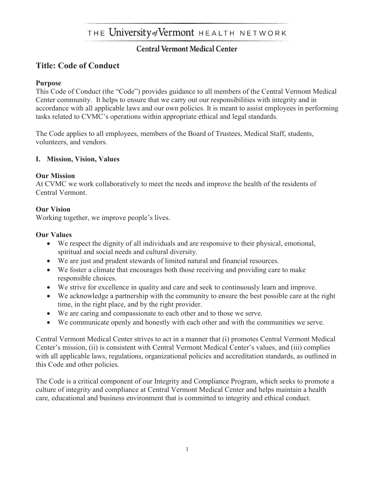# THE University of Vermont HEALTH NETWORK

# **Central Vermont Medical Center**

# **Title: Code of Conduct**

#### **Purpose**

This Code of Conduct (the "Code") provides guidance to all members of the Central Vermont Medical Center community. It helps to ensure that we carry out our responsibilities with integrity and in accordance with all applicable laws and our own policies. It is meant to assist employees in performing tasks related to CVMC's operations within appropriate ethical and legal standards.

The Code applies to all employees, members of the Board of Trustees, Medical Staff, students, volunteers, and vendors.

#### **I. Mission, Vision, Values**

#### **Our Mission**

At CVMC we work collaboratively to meet the needs and improve the health of the residents of Central Vermont.

#### **Our Vision**

Working together, we improve people's lives.

#### **Our Values**

- We respect the dignity of all individuals and are responsive to their physical, emotional, spiritual and social needs and cultural diversity.
- We are just and prudent stewards of limited natural and financial resources.
- We foster a climate that encourages both those receiving and providing care to make responsible choices.
- We strive for excellence in quality and care and seek to continuously learn and improve.
- We acknowledge a partnership with the community to ensure the best possible care at the right time, in the right place, and by the right provider.
- We are caring and compassionate to each other and to those we serve.
- We communicate openly and honestly with each other and with the communities we serve.

Central Vermont Medical Center strives to act in a manner that (i) promotes Central Vermont Medical Center's mission, (ii) is consistent with Central Vermont Medical Center's values, and (iii) complies with all applicable laws, regulations, organizational policies and accreditation standards, as outlined in this Code and other policies.

The Code is a critical component of our Integrity and Compliance Program, which seeks to promote a culture of integrity and compliance at Central Vermont Medical Center and helps maintain a health care, educational and business environment that is committed to integrity and ethical conduct.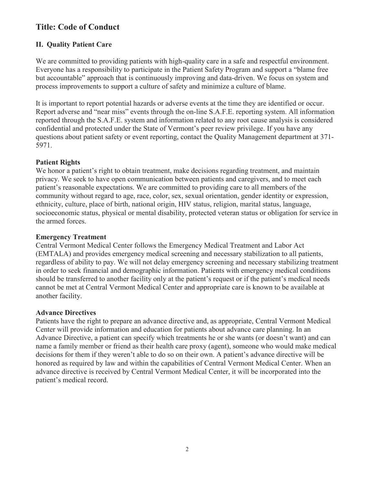# **II. Quality Patient Care**

We are committed to providing patients with high-quality care in a safe and respectful environment. Everyone has a responsibility to participate in the Patient Safety Program and support a "blame free but accountable" approach that is continuously improving and data-driven. We focus on system and process improvements to support a culture of safety and minimize a culture of blame.

It is important to report potential hazards or adverse events at the time they are identified or occur. Report adverse and "near miss" events through the on-line S.A.F.E. reporting system. All information reported through the S.A.F.E. system and information related to any root cause analysis is considered confidential and protected under the State of Vermont's peer review privilege. If you have any questions about patient safety or event reporting, contact the Quality Management department at 371- 5971.

## **Patient Rights**

We honor a patient's right to obtain treatment, make decisions regarding treatment, and maintain privacy. We seek to have open communication between patients and caregivers, and to meet each patient's reasonable expectations. We are committed to providing care to all members of the community without regard to age, race, color, sex, sexual orientation, gender identity or expression, ethnicity, culture, place of birth, national origin, HIV status, religion, marital status, language, socioeconomic status, physical or mental disability, protected veteran status or obligation for service in the armed forces.

## **Emergency Treatment**

Central Vermont Medical Center follows the Emergency Medical Treatment and Labor Act (EMTALA) and provides emergency medical screening and necessary stabilization to all patients, regardless of ability to pay. We will not delay emergency screening and necessary stabilizing treatment in order to seek financial and demographic information. Patients with emergency medical conditions should be transferred to another facility only at the patient's request or if the patient's medical needs cannot be met at Central Vermont Medical Center and appropriate care is known to be available at another facility.

#### **Advance Directives**

Patients have the right to prepare an advance directive and, as appropriate, Central Vermont Medical Center will provide information and education for patients about advance care planning. In an Advance Directive, a patient can specify which treatments he or she wants (or doesn't want) and can name a family member or friend as their health care proxy (agent), someone who would make medical decisions for them if they weren't able to do so on their own. A patient's advance directive will be honored as required by law and within the capabilities of Central Vermont Medical Center. When an advance directive is received by Central Vermont Medical Center, it will be incorporated into the patient's medical record.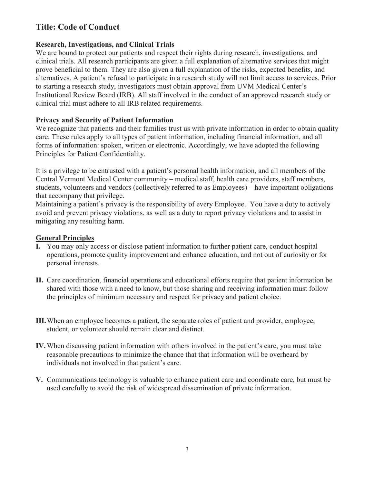### **Research, Investigations, and Clinical Trials**

We are bound to protect our patients and respect their rights during research, investigations, and clinical trials. All research participants are given a full explanation of alternative services that might prove beneficial to them. They are also given a full explanation of the risks, expected benefits, and alternatives. A patient's refusal to participate in a research study will not limit access to services. Prior to starting a research study, investigators must obtain approval from UVM Medical Center's Institutional Review Board (IRB). All staff involved in the conduct of an approved research study or clinical trial must adhere to all IRB related requirements.

### **Privacy and Security of Patient Information**

We recognize that patients and their families trust us with private information in order to obtain quality care. These rules apply to all types of patient information, including financial information, and all forms of information: spoken, written or electronic. Accordingly, we have adopted the following Principles for Patient Confidentiality.

It is a privilege to be entrusted with a patient's personal health information, and all members of the Central Vermont Medical Center community – medical staff, health care providers, staff members, students, volunteers and vendors (collectively referred to as Employees) – have important obligations that accompany that privilege.

Maintaining a patient's privacy is the responsibility of every Employee. You have a duty to actively avoid and prevent privacy violations, as well as a duty to report privacy violations and to assist in mitigating any resulting harm.

# **General Principles**

- **I.** You may only access or disclose patient information to further patient care, conduct hospital operations, promote quality improvement and enhance education, and not out of curiosity or for personal interests.
- **II.** Care coordination, financial operations and educational efforts require that patient information be shared with those with a need to know, but those sharing and receiving information must follow the principles of minimum necessary and respect for privacy and patient choice.
- **III.**When an employee becomes a patient, the separate roles of patient and provider, employee, student, or volunteer should remain clear and distinct.
- **IV.**When discussing patient information with others involved in the patient's care, you must take reasonable precautions to minimize the chance that that information will be overheard by individuals not involved in that patient's care.
- **V.** Communications technology is valuable to enhance patient care and coordinate care, but must be used carefully to avoid the risk of widespread dissemination of private information.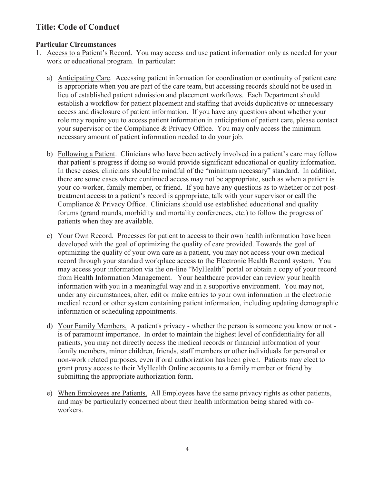## **Particular Circumstances**

- 1. Access to a Patient's Record. You may access and use patient information only as needed for your work or educational program. In particular:
	- a) Anticipating Care. Accessing patient information for coordination or continuity of patient care is appropriate when you are part of the care team, but accessing records should not be used in lieu of established patient admission and placement workflows. Each Department should establish a workflow for patient placement and staffing that avoids duplicative or unnecessary access and disclosure of patient information. If you have any questions about whether your role may require you to access patient information in anticipation of patient care, please contact your supervisor or the Compliance & Privacy Office. You may only access the minimum necessary amount of patient information needed to do your job.
	- b) Following a Patient. Clinicians who have been actively involved in a patient's care may follow that patient's progress if doing so would provide significant educational or quality information. In these cases, clinicians should be mindful of the "minimum necessary" standard. In addition, there are some cases where continued access may not be appropriate, such as when a patient is your co-worker, family member, or friend. If you have any questions as to whether or not posttreatment access to a patient's record is appropriate, talk with your supervisor or call the Compliance & Privacy Office. Clinicians should use established educational and quality forums (grand rounds, morbidity and mortality conferences, etc.) to follow the progress of patients when they are available.
	- c) Your Own Record. Processes for patient to access to their own health information have been developed with the goal of optimizing the quality of care provided. Towards the goal of optimizing the quality of your own care as a patient, you may not access your own medical record through your standard workplace access to the Electronic Health Record system. You may access your information via the on-line "MyHealth" portal or obtain a copy of your record from Health Information Management. Your healthcare provider can review your health information with you in a meaningful way and in a supportive environment. You may not, under any circumstances, alter, edit or make entries to your own information in the electronic medical record or other system containing patient information, including updating demographic information or scheduling appointments.
	- d) Your Family Members. A patient's privacy whether the person is someone you know or not is of paramount importance. In order to maintain the highest level of confidentiality for all patients, you may not directly access the medical records or financial information of your family members, minor children, friends, staff members or other individuals for personal or non-work related purposes, even if oral authorization has been given. Patients may elect to grant proxy access to their MyHealth Online accounts to a family member or friend by submitting the appropriate authorization form.
	- e) When Employees are Patients. All Employees have the same privacy rights as other patients, and may be particularly concerned about their health information being shared with coworkers.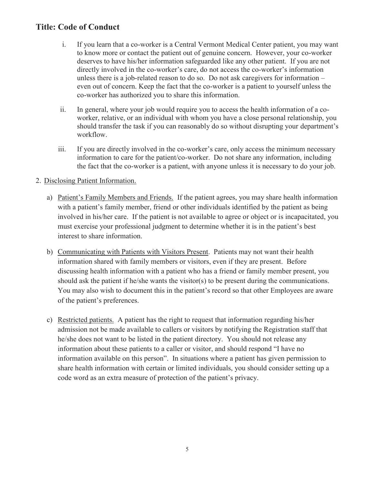- i. If you learn that a co-worker is a Central Vermont Medical Center patient, you may want to know more or contact the patient out of genuine concern. However, your co-worker deserves to have his/her information safeguarded like any other patient. If you are not directly involved in the co-worker's care, do not access the co-worker's information unless there is a job-related reason to do so. Do not ask caregivers for information – even out of concern. Keep the fact that the co-worker is a patient to yourself unless the co-worker has authorized you to share this information.
- ii. In general, where your job would require you to access the health information of a coworker, relative, or an individual with whom you have a close personal relationship, you should transfer the task if you can reasonably do so without disrupting your department's workflow.
- iii. If you are directly involved in the co-worker's care, only access the minimum necessary information to care for the patient/co-worker. Do not share any information, including the fact that the co-worker is a patient, with anyone unless it is necessary to do your job.

#### 2. Disclosing Patient Information.

- a) Patient's Family Members and Friends. If the patient agrees, you may share health information with a patient's family member, friend or other individuals identified by the patient as being involved in his/her care. If the patient is not available to agree or object or is incapacitated, you must exercise your professional judgment to determine whether it is in the patient's best interest to share information.
- b) Communicating with Patients with Visitors Present. Patients may not want their health information shared with family members or visitors, even if they are present. Before discussing health information with a patient who has a friend or family member present, you should ask the patient if he/she wants the visitor(s) to be present during the communications. You may also wish to document this in the patient's record so that other Employees are aware of the patient's preferences.
- c) Restricted patients. A patient has the right to request that information regarding his/her admission not be made available to callers or visitors by notifying the Registration staff that he/she does not want to be listed in the patient directory. You should not release any information about these patients to a caller or visitor, and should respond "I have no information available on this person". In situations where a patient has given permission to share health information with certain or limited individuals, you should consider setting up a code word as an extra measure of protection of the patient's privacy.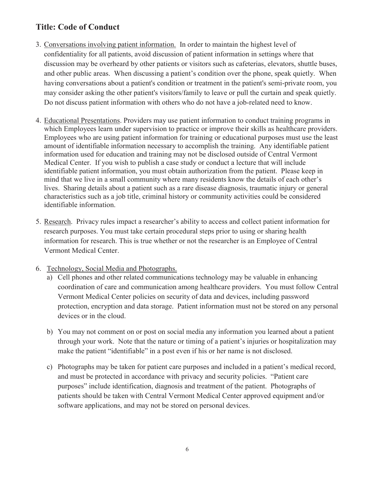- 3. Conversations involving patient information. In order to maintain the highest level of confidentiality for all patients, avoid discussion of patient information in settings where that discussion may be overheard by other patients or visitors such as cafeterias, elevators, shuttle buses, and other public areas. When discussing a patient's condition over the phone, speak quietly. When having conversations about a patient's condition or treatment in the patient's semi-private room, you may consider asking the other patient's visitors/family to leave or pull the curtain and speak quietly. Do not discuss patient information with others who do not have a job-related need to know.
- 4. Educational Presentations. Providers may use patient information to conduct training programs in which Employees learn under supervision to practice or improve their skills as healthcare providers. Employees who are using patient information for training or educational purposes must use the least amount of identifiable information necessary to accomplish the training. Any identifiable patient information used for education and training may not be disclosed outside of Central Vermont Medical Center. If you wish to publish a case study or conduct a lecture that will include identifiable patient information, you must obtain authorization from the patient. Please keep in mind that we live in a small community where many residents know the details of each other's lives. Sharing details about a patient such as a rare disease diagnosis, traumatic injury or general characteristics such as a job title, criminal history or community activities could be considered identifiable information.
- 5. Research. Privacy rules impact a researcher's ability to access and collect patient information for research purposes. You must take certain procedural steps prior to using or sharing health information for research. This is true whether or not the researcher is an Employee of Central Vermont Medical Center.
- 6. Technology, Social Media and Photographs.
	- a) Cell phones and other related communications technology may be valuable in enhancing coordination of care and communication among healthcare providers. You must follow Central Vermont Medical Center policies on security of data and devices, including password protection, encryption and data storage. Patient information must not be stored on any personal devices or in the cloud.
	- b) You may not comment on or post on social media any information you learned about a patient through your work. Note that the nature or timing of a patient's injuries or hospitalization may make the patient "identifiable" in a post even if his or her name is not disclosed.
	- c) Photographs may be taken for patient care purposes and included in a patient's medical record, and must be protected in accordance with privacy and security policies. "Patient care purposes" include identification, diagnosis and treatment of the patient. Photographs of patients should be taken with Central Vermont Medical Center approved equipment and/or software applications, and may not be stored on personal devices.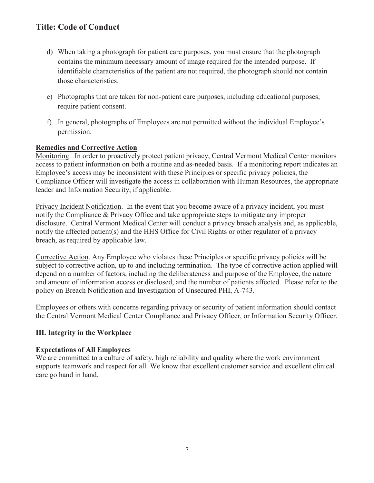- d) When taking a photograph for patient care purposes, you must ensure that the photograph contains the minimum necessary amount of image required for the intended purpose. If identifiable characteristics of the patient are not required, the photograph should not contain those characteristics.
- e) Photographs that are taken for non-patient care purposes, including educational purposes, require patient consent.
- f) In general, photographs of Employees are not permitted without the individual Employee's permission.

## **Remedies and Corrective Action**

Monitoring. In order to proactively protect patient privacy, Central Vermont Medical Center monitors access to patient information on both a routine and as-needed basis. If a monitoring report indicates an Employee's access may be inconsistent with these Principles or specific privacy policies, the Compliance Officer will investigate the access in collaboration with Human Resources, the appropriate leader and Information Security, if applicable.

Privacy Incident Notification. In the event that you become aware of a privacy incident, you must notify the Compliance & Privacy Office and take appropriate steps to mitigate any improper disclosure. Central Vermont Medical Center will conduct a privacy breach analysis and, as applicable, notify the affected patient(s) and the HHS Office for Civil Rights or other regulator of a privacy breach, as required by applicable law.

Corrective Action. Any Employee who violates these Principles or specific privacy policies will be subject to corrective action, up to and including termination. The type of corrective action applied will depend on a number of factors, including the deliberateness and purpose of the Employee, the nature and amount of information access or disclosed, and the number of patients affected. Please refer to the policy on Breach Notification and Investigation of Unsecured PHI, A-743.

Employees or others with concerns regarding privacy or security of patient information should contact the Central Vermont Medical Center Compliance and Privacy Officer, or Information Security Officer.

# **III. Integrity in the Workplace**

#### **Expectations of All Employees**

We are committed to a culture of safety, high reliability and quality where the work environment supports teamwork and respect for all. We know that excellent customer service and excellent clinical care go hand in hand.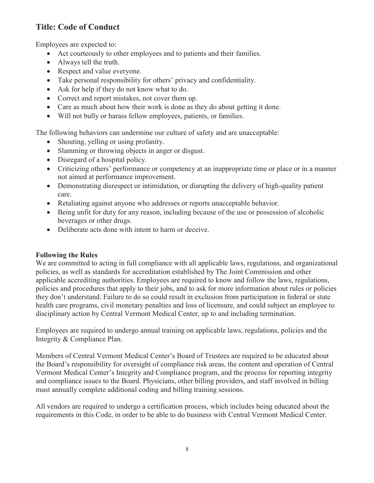Employees are expected to:

- Act courteously to other employees and to patients and their families.
- $\bullet$  Always tell the truth.
- Respect and value everyone.
- Take personal responsibility for others' privacy and confidentiality.
- Ask for help if they do not know what to do.
- Correct and report mistakes, not cover them up.
- Care as much about how their work is done as they do about getting it done.
- Will not bully or harass fellow employees, patients, or families.

The following behaviors can undermine our culture of safety and are unacceptable:

- Shouting, yelling or using profanity.
- Slamming or throwing objects in anger or disgust.
- $\bullet$  Disregard of a hospital policy.
- Criticizing others' performance or competency at an inappropriate time or place or in a manner not aimed at performance improvement.
- Demonstrating disrespect or intimidation, or disrupting the delivery of high-quality patient care.
- Retaliating against anyone who addresses or reports unacceptable behavior.
- Being unfit for duty for any reason, including because of the use or possession of alcoholic beverages or other drugs.
- Deliberate acts done with intent to harm or deceive.

#### **Following the Rules**

We are committed to acting in full compliance with all applicable laws, regulations, and organizational policies, as well as standards for accreditation established by The Joint Commission and other applicable accrediting authorities. Employees are required to know and follow the laws, regulations, policies and procedures that apply to their jobs, and to ask for more information about rules or policies they don't understand. Failure to do so could result in exclusion from participation in federal or state health care programs, civil monetary penalties and loss of licensure, and could subject an employee to disciplinary action by Central Vermont Medical Center, up to and including termination.

Employees are required to undergo annual training on applicable laws, regulations, policies and the Integrity & Compliance Plan.

Members of Central Vermont Medical Center's Board of Trustees are required to be educated about the Board's responsibility for oversight of compliance risk areas, the content and operation of Central Vermont Medical Center's Integrity and Compliance program, and the process for reporting integrity and compliance issues to the Board. Physicians, other billing providers, and staff involved in billing must annually complete additional coding and billing training sessions.

All vendors are required to undergo a certification process, which includes being educated about the requirements in this Code, in order to be able to do business with Central Vermont Medical Center.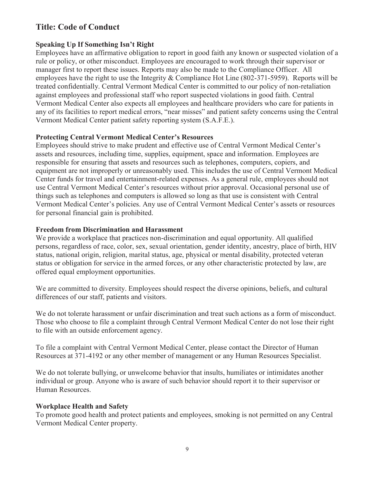## **Speaking Up If Something Isn't Right**

Employees have an affirmative obligation to report in good faith any known or suspected violation of a rule or policy, or other misconduct. Employees are encouraged to work through their supervisor or manager first to report these issues. Reports may also be made to the Compliance Officer. All employees have the right to use the Integrity & Compliance Hot Line (802-371-5959). Reports will be treated confidentially. Central Vermont Medical Center is committed to our policy of non-retaliation against employees and professional staff who report suspected violations in good faith. Central Vermont Medical Center also expects all employees and healthcare providers who care for patients in any of its facilities to report medical errors, "near misses" and patient safety concerns using the Central Vermont Medical Center patient safety reporting system (S.A.F.E.).

## **Protecting Central Vermont Medical Center's Resources**

Employees should strive to make prudent and effective use of Central Vermont Medical Center's assets and resources, including time, supplies, equipment, space and information. Employees are responsible for ensuring that assets and resources such as telephones, computers, copiers, and equipment are not improperly or unreasonably used. This includes the use of Central Vermont Medical Center funds for travel and entertainment-related expenses. As a general rule, employees should not use Central Vermont Medical Center's resources without prior approval. Occasional personal use of things such as telephones and computers is allowed so long as that use is consistent with Central Vermont Medical Center's policies. Any use of Central Vermont Medical Center's assets or resources for personal financial gain is prohibited.

#### **Freedom from Discrimination and Harassment**

We provide a workplace that practices non-discrimination and equal opportunity. All qualified persons, regardless of race, color, sex, sexual orientation, gender identity, ancestry, place of birth, HIV status, national origin, religion, marital status, age, physical or mental disability, protected veteran status or obligation for service in the armed forces, or any other characteristic protected by law, are offered equal employment opportunities.

We are committed to diversity. Employees should respect the diverse opinions, beliefs, and cultural differences of our staff, patients and visitors.

We do not tolerate harassment or unfair discrimination and treat such actions as a form of misconduct. Those who choose to file a complaint through Central Vermont Medical Center do not lose their right to file with an outside enforcement agency.

To file a complaint with Central Vermont Medical Center, please contact the Director of Human Resources at 371-4192 or any other member of management or any Human Resources Specialist.

We do not tolerate bullying, or unwelcome behavior that insults, humiliates or intimidates another individual or group. Anyone who is aware of such behavior should report it to their supervisor or Human Resources.

#### **Workplace Health and Safety**

To promote good health and protect patients and employees, smoking is not permitted on any Central Vermont Medical Center property.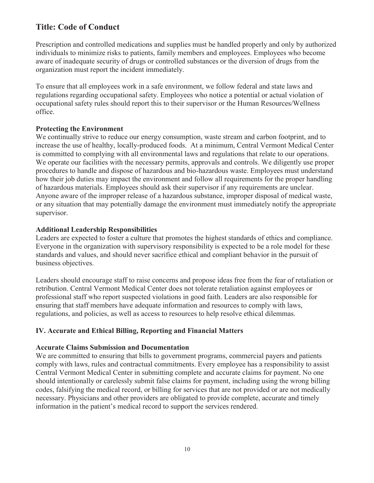Prescription and controlled medications and supplies must be handled properly and only by authorized individuals to minimize risks to patients, family members and employees. Employees who become aware of inadequate security of drugs or controlled substances or the diversion of drugs from the organization must report the incident immediately.

To ensure that all employees work in a safe environment, we follow federal and state laws and regulations regarding occupational safety. Employees who notice a potential or actual violation of occupational safety rules should report this to their supervisor or the Human Resources/Wellness office.

## **Protecting the Environment**

We continually strive to reduce our energy consumption, waste stream and carbon footprint, and to increase the use of healthy, locally-produced foods. At a minimum, Central Vermont Medical Center is committed to complying with all environmental laws and regulations that relate to our operations. We operate our facilities with the necessary permits, approvals and controls. We diligently use proper procedures to handle and dispose of hazardous and bio-hazardous waste. Employees must understand how their job duties may impact the environment and follow all requirements for the proper handling of hazardous materials. Employees should ask their supervisor if any requirements are unclear. Anyone aware of the improper release of a hazardous substance, improper disposal of medical waste, or any situation that may potentially damage the environment must immediately notify the appropriate supervisor.

## **Additional Leadership Responsibilities**

Leaders are expected to foster a culture that promotes the highest standards of ethics and compliance. Everyone in the organization with supervisory responsibility is expected to be a role model for these standards and values, and should never sacrifice ethical and compliant behavior in the pursuit of business objectives.

Leaders should encourage staff to raise concerns and propose ideas free from the fear of retaliation or retribution. Central Vermont Medical Center does not tolerate retaliation against employees or professional staff who report suspected violations in good faith. Leaders are also responsible for ensuring that staff members have adequate information and resources to comply with laws, regulations, and policies, as well as access to resources to help resolve ethical dilemmas.

# **IV. Accurate and Ethical Billing, Reporting and Financial Matters**

#### **Accurate Claims Submission and Documentation**

We are committed to ensuring that bills to government programs, commercial payers and patients comply with laws, rules and contractual commitments. Every employee has a responsibility to assist Central Vermont Medical Center in submitting complete and accurate claims for payment. No one should intentionally or carelessly submit false claims for payment, including using the wrong billing codes, falsifying the medical record, or billing for services that are not provided or are not medically necessary. Physicians and other providers are obligated to provide complete, accurate and timely information in the patient's medical record to support the services rendered.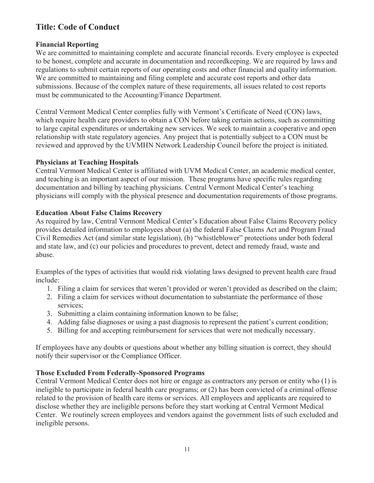## **Financial Reporting**

We are committed to maintaining complete and accurate financial records. Every employee is expected to be honest, complete and accurate in documentation and recordkeeping. We are required by laws and regulations to submit certain reports of our operating costs and other financial and quality information. We are committed to maintaining and filing complete and accurate cost reports and other data submissions. Because of the complex nature of these requirements, all issues related to cost reports must be communicated to the Accounting/Finance Department.

Central Vermont Medical Center complies fully with Vermont's Certificate of Need (CON) laws, which require health care providers to obtain a CON before taking certain actions, such as committing to large capital expenditures or undertaking new services. We seek to maintain a cooperative and open relationship with state regulatory agencies. Any project that is potentially subject to a CON must be reviewed and approved by the UVMHN Network Leadership Council before the project is initiated.

## **Physicians at Teaching Hospitals**

Central Vermont Medical Center is affiliated with UVM Medical Center, an academic medical center, and teaching is an important aspect of our mission. These programs have specific rules regarding documentation and billing by teaching physicians. Central Vermont Medical Center's teaching physicians will comply with the physical presence and documentation requirements of those programs.

## **Education About False Claims Recovery**

As required by law, Central Vermont Medical Center's Education about False Claims Recovery policy provides detailed information to employees about (a) the federal False Claims Act and Program Fraud Civil Remedies Act (and similar state legislation), (b) "whistleblower" protections under both federal and state law, and (c) our policies and procedures to prevent, detect and remedy fraud, waste and abuse.

Examples of the types of activities that would risk violating laws designed to prevent health care fraud include:

- 1. Filing a claim for services that weren't provided or weren't provided as described on the claim;
- 2. Filing a claim for services without documentation to substantiate the performance of those services;
- 3. Submitting a claim containing information known to be false;
- 4. Adding false diagnoses or using a past diagnosis to represent the patient's current condition;
- 5. Billing for and accepting reimbursement for services that were not medically necessary.

If employees have any doubts or questions about whether any billing situation is correct, they should notify their supervisor or the Compliance Officer.

# **Those Excluded From Federally-Sponsored Programs**

Central Vermont Medical Center does not hire or engage as contractors any person or entity who (1) is ineligible to participate in federal health care programs; or (2) has been convicted of a criminal offense related to the provision of health care items or services. All employees and applicants are required to disclose whether they are ineligible persons before they start working at Central Vermont Medical Center. We routinely screen employees and vendors against the government lists of such excluded and ineligible persons.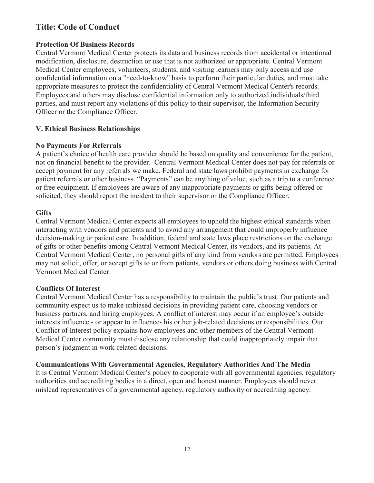## **Protection Of Business Records**

Central Vermont Medical Center protects its data and business records from accidental or intentional modification, disclosure, destruction or use that is not authorized or appropriate. Central Vermont Medical Center employees, volunteers, students, and visiting learners may only access and use confidential information on a "need-to-know" basis to perform their particular duties, and must take appropriate measures to protect the confidentiality of Central Vermont Medical Center's records. Employees and others may disclose confidential information only to authorized individuals/third parties, and must report any violations of this policy to their supervisor, the Information Security Officer or the Compliance Officer.

## **V. Ethical Business Relationships**

#### **No Payments For Referrals**

A patient's choice of health care provider should be based on quality and convenience for the patient, not on financial benefit to the provider. Central Vermont Medical Center does not pay for referrals or accept payment for any referrals we make. Federal and state laws prohibit payments in exchange for patient referrals or other business. "Payments" can be anything of value, such as a trip to a conference or free equipment. If employees are aware of any inappropriate payments or gifts being offered or solicited, they should report the incident to their supervisor or the Compliance Officer.

#### **Gifts**

Central Vermont Medical Center expects all employees to uphold the highest ethical standards when interacting with vendors and patients and to avoid any arrangement that could improperly influence decision-making or patient care. In addition, federal and state laws place restrictions on the exchange of gifts or other benefits among Central Vermont Medical Center, its vendors, and its patients. At Central Vermont Medical Center, no personal gifts of any kind from vendors are permitted. Employees may not solicit, offer, or accept gifts to or from patients, vendors or others doing business with Central Vermont Medical Center.

#### **Conflicts Of Interest**

Central Vermont Medical Center has a responsibility to maintain the public's trust. Our patients and community expect us to make unbiased decisions in providing patient care, choosing vendors or business partners, and hiring employees. A conflict of interest may occur if an employee's outside interests influence - or appear to influence- his or her job-related decisions or responsibilities. Our Conflict of Interest policy explains how employees and other members of the Central Vermont Medical Center community must disclose any relationship that could inappropriately impair that person's judgment in work-related decisions.

#### **Communications With Governmental Agencies, Regulatory Authorities And The Media**

It is Central Vermont Medical Center's policy to cooperate with all governmental agencies, regulatory authorities and accrediting bodies in a direct, open and honest manner. Employees should never mislead representatives of a governmental agency, regulatory authority or accrediting agency.